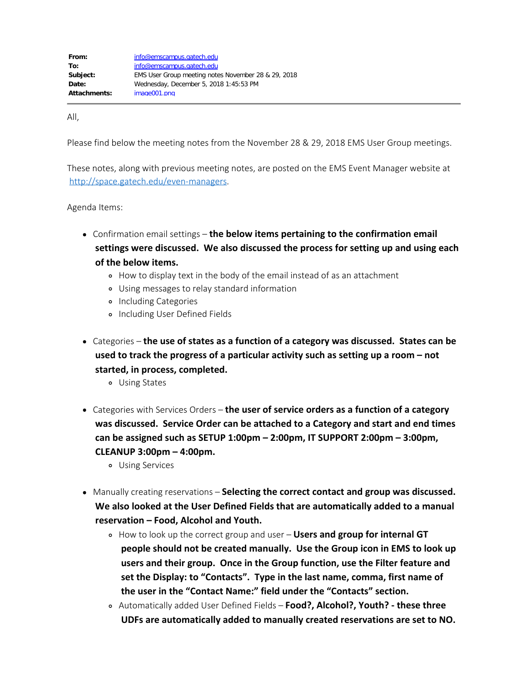All,

Please find below the meeting notes from the November 28 & 29, 2018 EMS User Group meetings.

These notes, along with previous meeting notes, are posted on the EMS Event Manager website at <http://space.gatech.edu/even-managers>.

Agenda Items:

- Confirmation email settings **the below items pertaining to the confirmation email settings were discussed. We also discussed the process for setting up and using each of the below items.**
	- How to display text in the body of the email instead of as an attachment
	- Using messages to relay standard information
	- o Including Categories
	- o Including User Defined Fields
- Categories **the use of states as a function of a category was discussed. States can be used to track the progress of a particular activity such as setting up a room – not started, in process, completed.**
	- Using States
- Categories with Services Orders **the user of service orders as a function of a category was discussed. Service Order can be attached to a Category and start and end times can be assigned such as SETUP 1:00pm – 2:00pm, IT SUPPORT 2:00pm – 3:00pm, CLEANUP 3:00pm – 4:00pm.**
	- Using Services
- Manually creating reservations **Selecting the correct contact and group was discussed. We also looked at the User Defined Fields that are automatically added to a manual reservation – Food, Alcohol and Youth.**
	- How to look up the correct group and user **Users and group for internal GT people should not be created manually. Use the Group icon in EMS to look up users and their group. Once in the Group function, use the Filter feature and set the Display: to "Contacts". Type in the last name, comma, first name of the user in the "Contact Name:" field under the "Contacts" section.**
	- Automatically added User Defined Fields **Food?, Alcohol?, Youth? these three UDFs are automatically added to manually created reservations are set to NO.**